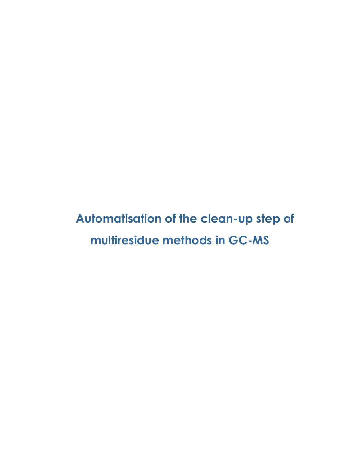**Automatisation of the clean-up step of multiresidue methods in GC-MS**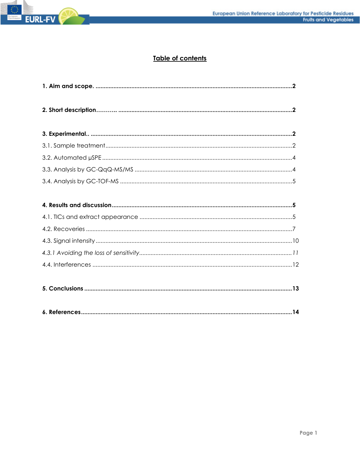

# Table of contents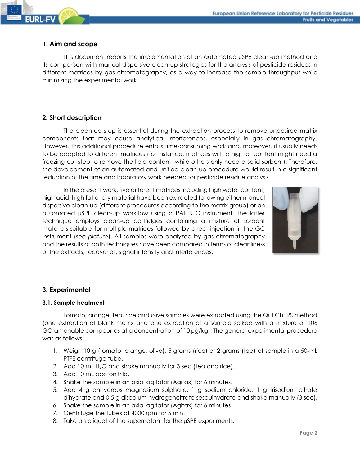## **1. Aim and scope**

This document reports the implementation of an automated µSPE clean-up method and its comparison with manual dispersive clean-up strategies for the analysis of pesticide residues in different matrices by gas chromatography, as a way to increase the sample throughput while minimizing the experimental work.

# **2. Short description**

The clean-up step is essential during the extraction process to remove undesired matrix components that may cause analytical interferences, especially in gas chromatography. However, this additional procedure entails time-consuming work and, moreover, it usually needs to be adapted to different matrices (for instance, matrices with a high oil content might need a freezing-out step to remove the lipid content, while others only need a solid sorbent). Therefore, the development of an automated and unified clean-up procedure would result in a significant reduction of the time and laboratory work needed for pesticide residue analysis.

In the present work, five different matrices including high water content, high acid, high fat or dry material have been extracted following either manual dispersive clean-up (different procedures according to the matrix group) or an automated µSPE clean-up workflow using a PAL RTC instrument. The latter technique employs clean-up cartridges containing a mixture of sorbent materials suitable for multiple matrices followed by direct injection in the GC instrument (*see picture*). All samples were analyzed by gas chromatography and the results of both techniques have been compared in terms of cleanliness of the extracts, recoveries, signal intensity and interferences.



# **3. Experimental**

### **3.1. Sample treatment**

Tomato, orange, tea, rice and olive samples were extracted using the QuEChERS method (one extraction of blank matrix and one extraction of a sample spiked with a mixture of 106 GC-amenable compounds at a concentration of 10 µg/kg). The general experimental procedure was as follows:

- 1. Weigh 10 g (tomato, orange, olive), 5 grams (rice) or 2 grams (tea) of sample in a 50-mL PTFE centrifuge tube.
- 2. Add 10 mL H<sub>2</sub>O and shake manually for 3 sec (tea and rice).
- 3. Add 10 mL acetonitrile.
- 4. Shake the sample in an axial agitator (Agitax) for 6 minutes.
- 5. Add 4 g anhydrous magnesium sulphate, 1 g sodium chloride, 1 g trisodium citrate dihydrate and 0.5 g disodium hydrogencitrate sesquihydrate and shake manually (3 sec).
- 6. Shake the sample in an axial agitator (Agitax) for 6 minutes.
- 7. Centrifuge the tubes at 4000 rpm for 5 min.
- 8. Take an aliquot of the supernatant for the uSPE experiments.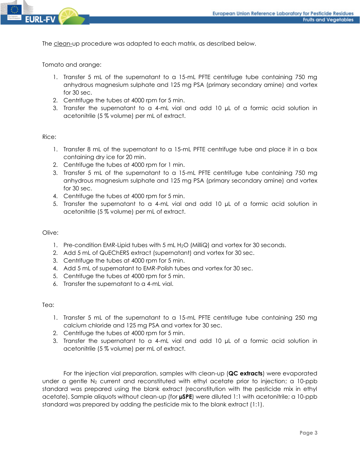

The clean-up procedure was adapted to each matrix, as described below.

Tomato and orange:

- 1. Transfer 5 mL of the supernatant to a 15-mL PFTE centrifuge tube containing 750 mg anhydrous magnesium sulphate and 125 mg PSA (primary secondary amine) and vortex for 30 sec.
- 2. Centrifuge the tubes at 4000 rpm for 5 min.
- 3. Transfer the supernatant to a 4-mL vial and add 10 µL of a formic acid solution in acetonitrile (5 % volume) per mL of extract.

### Rice:

- 1. Transfer 8 mL of the supernatant to a 15-mL PFTE centrifuge tube and place it in a box containing dry ice for 20 min.
- 2. Centrifuge the tubes at 4000 rpm for 1 min.
- 3. Transfer 5 mL of the supernatant to a 15-mL PFTE centrifuge tube containing 750 mg anhydrous magnesium sulphate and 125 mg PSA (primary secondary amine) and vortex for 30 sec.
- 4. Centrifuge the tubes at 4000 rpm for 5 min.
- 5. Transfer the supernatant to a 4-mL vial and add 10 µL of a formic acid solution in acetonitrile (5 % volume) per mL of extract.

#### Olive:

- 1. Pre-condition EMR-Lipid tubes with 5 mL H2O (MilliQ) and vortex for 30 seconds.
- 2. Add 5 mL of QuEChERS extract (supernatant) and vortex for 30 sec.
- 3. Centrifuge the tubes at 4000 rpm for 5 min.
- 4. Add 5 mL of supernatant to EMR-Polish tubes and vortex for 30 sec.
- 5. Centrifuge the tubes at 4000 rpm for 5 min.
- 6. Transfer the supernatant to a 4-mL vial.

#### Tea:

- 1. Transfer 5 mL of the supernatant to a 15-mL PFTE centrifuge tube containing 250 mg calcium chloride and 125 mg PSA and vortex for 30 sec.
- 2. Centrifuge the tubes at 4000 rpm for 5 min.
- 3. Transfer the supernatant to a 4-mL vial and add 10 µL of a formic acid solution in acetonitrile (5 % volume) per mL of extract.

For the injection vial preparation, samples with clean-up (**QC extracts**) were evaporated under a gentle  $N_2$  current and reconstituted with ethyl acetate prior to injection; a 10-ppb standard was prepared using the blank extract (reconstitution with the pesticide mix in ethyl acetate). Sample aliquots without clean-up (for **µSPE**) were diluted 1:1 with acetonitrile; a 10-ppb standard was prepared by adding the pesticide mix to the blank extract (1:1).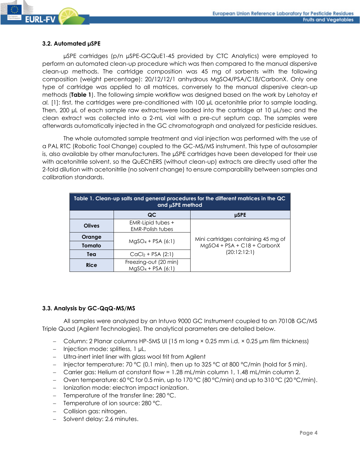

µSPE cartridges (p/n µSPE-GCQuE1-45 provided by CTC Analytics) were employed to perform an automated clean-up procedure which was then compared to the manual dispersive clean-up methods. The cartridge composition was 45 mg of sorbents with the following composition (weight percentage): 20/12/12/1 anhydrous MgSO4/PSA/C18/CarbonX. Only one type of cartridge was applied to all matrices, conversely to the manual dispersive clean-up methods (**Table 1**). The following simple workflow was designed based on the work by Lehotay *et al.* [1]: first, the cartridges were pre-conditioned with 100 µL acetonitrile prior to sample loading. Then, 200 µL of each sample raw extractswere loaded into the cartridge at 10 µL/sec and the clean extract was collected into a 2-mL vial with a pre-cut septum cap. The samples were afterwards automatically injected in the GC chromatograph and analyzed for pesticide residues.

The whole automated sample treatment and vial injection was performed with the use of a PAL RTC (Robotic Tool Change) coupled to the GC-MS/MS instrument. This type of autosampler is, also available by other manufacturers. The µSPE cartridges have been developed for their use with acetonitrile solvent, so the QuEChERS (without clean-up) extracts are directly used after the 2-fold dilution with acetonitrile (no solvent change) to ensure comparability between samples and calibration standards.

| Table 1. Clean-up salts and general procedures for the different matrices in the QC<br>and $\mu$ SPE method |                                               |                                     |  |  |
|-------------------------------------------------------------------------------------------------------------|-----------------------------------------------|-------------------------------------|--|--|
|                                                                                                             | QC                                            | <b>µSPE</b>                         |  |  |
| <b>Olives</b>                                                                                               | EMR-Lipid tubes +<br><b>EMR-Polish tubes</b>  |                                     |  |  |
| Orange                                                                                                      | $MqSO_4 + PSA (6:1)$                          | Mini cartridges containing 45 mg of |  |  |
| Tomato                                                                                                      |                                               | MgSO4 + PSA + C18 + CarbonX         |  |  |
| Tea                                                                                                         | $CaCl2 + PSA (2:1)$                           | (20:12:12:1)                        |  |  |
| <b>Rice</b>                                                                                                 | Freezing-out (20 min)<br>$MgSO_4$ + PSA (6:1) |                                     |  |  |

### **3.3. Analysis by GC-QqQ-MS/MS**

All samples were analyzed by an Intuvo 9000 GC Instrument coupled to an 7010B GC/MS Triple Quad (Agilent Technologies). The analytical parameters are detailed below.

- − Column: 2 Planar columns HP-5MS UI (15 m long × 0.25 mm i.d. × 0.25 μm film thickness)
- − Injection mode: splitless, 1 µL,
- − Ultra-inert inlet liner with glass wool frit from Agilent
- − Injector temperature: 70 °C (0.1 min), then up to 325 °C at 800 °C/min (hold for 5 min).
- − Carrier gas: Helium at constant flow = 1.28 mL/min column 1, 1.48 mL/min column 2.
- − Oven temperature: 60 °C for 0.5 min, up to 170 °C (80 °C/min) and up to 310 °C (20 °C/min).
- − Ionization mode: electron impact ionization.
- − Temperature of the transfer line: 280 °C.
- − Temperature of ion source: 280 °C.
- − Collision gas: nitrogen.
- − Solvent delay: 2.6 minutes.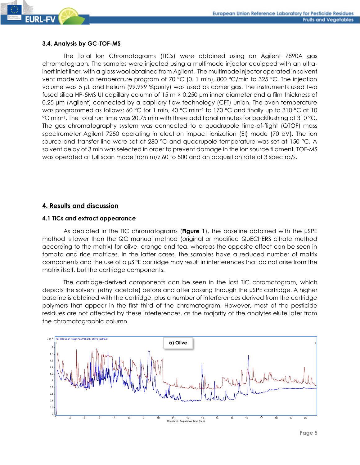### **3.4. Analysis by GC-TOF-MS**

The Total Ion Chromatograms (TICs) were obtained using an Agilent 7890A gas chromatograph. The samples were injected using a multimode injector equipped with an ultrainert inlet liner, with a glass wool obtained from Agilent. The multimode injector operated in solvent vent mode with a temperature program of 70 °C (0. 1 min), 800 °C/min to 325 °C. The injection volume was 5 μL and helium (99.999 %purity) was used as carrier gas. The instruments used two fused silica HP-5MS UI capillary column of 15 m × 0.250 µm inner diameter and a film thickness of 0.25 μm (Agilent) connected by a capillary flow technology (CFT) union. The oven temperature was programmed as follows: 60 °C for 1 min, 40 °C min<sup>-1</sup> to 170 °C and finally up to 310 °C at 10 °C min−1. The total run time was 20.75 min with three additional minutes for backflushing at 310 °C. The gas chromatography system was connected to a quadrupole time-of-flight (QTOF) mass spectrometer Agilent 7250 operating in electron impact ionization (EI) mode (70 eV). The ion source and transfer line were set at 280 °C and quadrupole temperature was set at 150 °C. A solvent delay of 3 min was selected in order to prevent damage in the ion source filament. TOF-MS was operated at full scan mode from m/z 60 to 500 and an acquisition rate of 3 spectra/s.

# **4. Results and discussion**

### **4.1 TICs and extract appearance**

As depicted in the TIC chromatograms (**Figure 1**), the baseline obtained with the µSPE method is lower than the QC manual method (original or modified QuEChERS citrate method according to the matrix) for olive, orange and tea, whereas the opposite effect can be seen in tomato and rice matrices. In the latter cases, the samples have a reduced number of matrix components and the use of a µSPE cartridge may result in interferences that do not arise from the matrix itself, but the cartridge components.

The cartridge-derived components can be seen in the last TIC chromatogram, which depicts the solvent (ethyl acetate) before and after passing through the µSPE cartridge. A higher baseline is obtained with the cartridge, plus a number of interferences derived from the cartridge polymers that appear in the first third of the chromatogram. However, most of the pesticide residues are not affected by these interferences, as the majority of the analytes elute later from the chromatographic column.

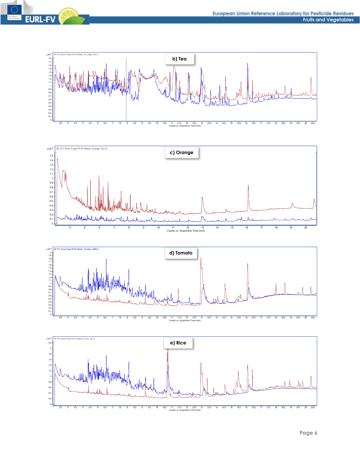







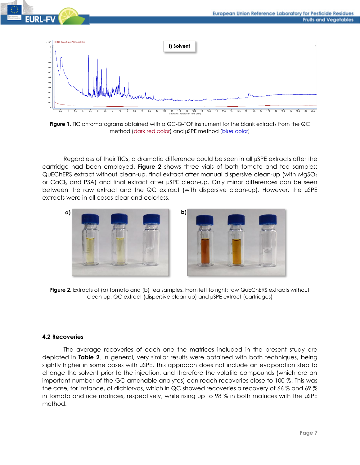



**Figure 1**. TIC chromatograms obtained with a GC-Q-TOF instrument for the blank extracts from the QC method (dark red color) and µSPE method (blue color)

Regardless of their TICs, a dramatic difference could be seen in all µSPE extracts after the cartridge had been employed. **Figure 2** shows three vials of both tomato and tea samples: QuEChERS extract without clean-up, final extract after manual dispersive clean-up (with MgSO<sup>4</sup> or CaCl<sub>2</sub> and PSA) and final extract after µSPE clean-up. Only minor differences can be seen between the raw extract and the QC extract (with dispersive clean-up). However, the µSPE extracts were in all cases clear and colorless.





**Figure 2.** Extracts of (a) tomato and (b) tea samples. From left to right: raw QuEChERS extracts without clean-up, QC extract (dispersive clean-up) and µSPE extract (cartridges)

## **4.2 Recoveries**

The average recoveries of each one the matrices included in the present study are depicted in **Table 2**. In general, very similar results were obtained with both techniques, being slightly higher in some cases with µSPE. This approach does not include an evaporation step to change the solvent prior to the injection, and therefore the volatile compounds (which are an important number of the GC-amenable analytes) can reach recoveries close to 100 %. This was the case, for instance, of dichlorvos, which in QC showed recoveries a recovery of 66 % and 69 % in tomato and rice matrices, respectively, while rising up to 98 % in both matrices with the µSPE method.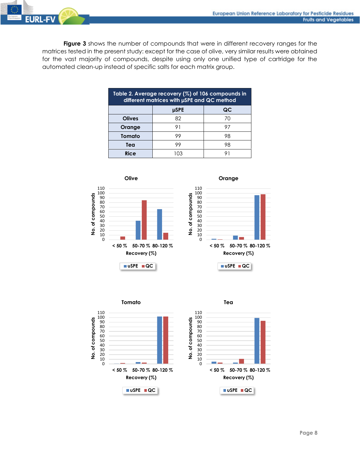

**Figure 3** shows the number of compounds that were in different recovery ranges for the matrices tested in the present study: except for the case of olive, very similar results were obtained for the vast majority of compounds, despite using only one unified type of cartridge for the automated clean-up instead of specific salts for each matrix group.

| Table 2. Average recovery $(\%)$ of 106 compounds in<br>different matrices with µSPE and QC method |             |    |  |  |
|----------------------------------------------------------------------------------------------------|-------------|----|--|--|
|                                                                                                    | <b>µSPE</b> | QC |  |  |
| <b>Olives</b>                                                                                      | 82          | 70 |  |  |
| Orange                                                                                             | 91          | 97 |  |  |
| Tomato                                                                                             | 99          | 98 |  |  |
| Tea                                                                                                | 99          | 98 |  |  |
| <b>Rice</b>                                                                                        |             |    |  |  |





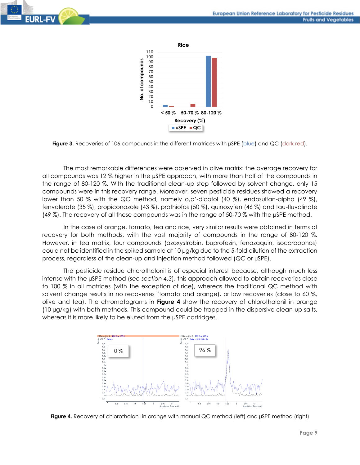



**Figure 3.** Recoveries of 106 compounds in the different matrices with uSPE (blue) and QC (dark red).

The most remarkable differences were observed in olive matrix: the average recovery for all compounds was 12 % higher in the µSPE approach, with more than half of the compounds in the range of 80-120 %. With the traditional clean-up step followed by solvent change, only 15 compounds were in this recovery range. Moreover, seven pesticide residues showed a recovery lower than 50 % with the QC method, namely 0,p'-dicofol (40 %), endosulfan-alpha (49 %), fenvalerate (35 %), propiconazole (43 %), prothiofos (50 %), quinoxyfen (46 %) and tau-fluvalinate (49 %). The recovery of all these compounds was in the range of 50-70 % with the µSPE method.

In the case of orange, tomato, tea and rice, very similar results were obtained in terms of recovery for both methods, with the vast majority of compounds in the range of 80-120 %. However, in tea matrix, four compounds (azoxystrobin, buprofezin, fenazaquin, isocarbophos) could not be identified in the spiked sample at 10 µg/kg due to the 5-fold dilution of the extraction process, regardless of the clean-up and injection method followed (QC or µSPE).

The pesticide residue chlorothalonil is of especial interest because, although much less intense with the µSPE method (*see section 4.3*), this approach allowed to obtain recoveries close to 100 % in all matrices (with the exception of rice), whereas the traditional QC method with solvent change results in no recoveries (tomato and orange), or low recoveries (close to 60 %, olive and tea). The chromatograms in **Figure 4** show the recovery of chlorothalonil in orange (10 µg/kg) with both methods. This compound could be trapped in the dispersive clean-up salts, whereas it is more likely to be eluted from the  $\mu$ SPE cartridges.



**Figure 4.** Recovery of chlorothalonil in orange with manual QC method (left) and µSPE method (right)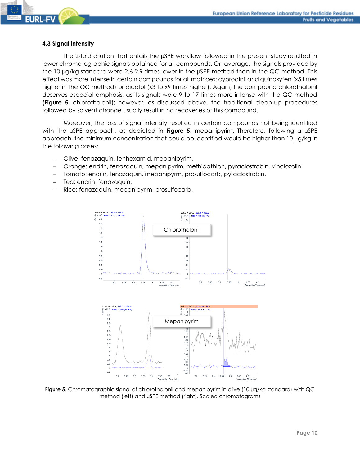

#### **4.3 Signal intensity**

The 2-fold dilution that entails the µSPE workflow followed in the present study resulted in lower chromatographic signals obtained for all compounds. On average, the signals provided by the 10 µg/kg standard were 2.6-2.9 times lower in the µSPE method than in the QC method. This effect was more intense in certain compounds for all matrices: cyprodinil and quinoxyfen (x5 times higher in the QC method) or dicofol (x3 to x9 times higher). Again, the compound chlorothalonil deserves especial emphasis, as its signals were 9 to 17 times more intense with the QC method (**Figure 5**, chlorothalonil); however, as discussed above, the traditional clean-up procedures followed by solvent change usually result in no recoveries of this compound.

Moreover, the loss of signal intensity resulted in certain compounds not being identified with the µSPE approach, as depicted in **Figure 5,** mepanipyrim. Therefore, following a µSPE approach, the minimum concentration that could be identified would be higher than 10 µg/kg in the following cases:

- − Olive: fenazaquin, fenhexamid, mepanipyrim.
- − Orange: endrin, fenazaquin, mepanipyrim, methidathion, pyraclostrobin, vinclozolin.
- − Tomato: endrin, fenazaquin, mepanipyrm, prosulfocarb, pyraclostrobin.
- Tea: endrin, fenazaquin.
- Rice: fenazaquin, mepanipyrim, prosulfocarb.



Figure 5. Chromatographic signal of chlorothalonil and mepanipyrim in olive (10 µg/kg standard) with QC method (left) and µSPE method (right). Scaled chromatograms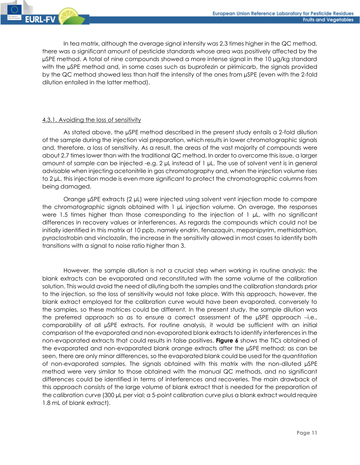

In tea matrix, although the average signal intensity was 2.3 times higher in the QC method, there was a significant amount of pesticide standards whose area was positively affected by the µSPE method. A total of nine compounds showed a more intense signal in the 10 µg/kg standard with the µSPE method and, in some cases such as buprofezin or pirimicarb, the signals provided by the QC method showed less than half the intensity of the ones from µSPE (even with the 2-fold dilution entailed in the latter method).

## 4.3.1. Avoiding the loss of sensitivity

As stated above, the µSPE method described in the present study entails a 2-fold dilution of the sample during the injection vial preparation, which results in lower chromatographic signals and, therefore, a loss of sensitivity. As a result, the areas of the vast majority of compounds were about 2.7 times lower than with the traditional QC method. In order to overcome this issue, a larger amount of sample can be injected -e.g. 2  $\mu$ L instead of 1  $\mu$ L. The use of solvent vent is in general advisable when injecting acetonitrile in gas chromatography and, when the injection volume rises to 2 µL, this injection mode is even more significant to protect the chromatographic columns from being damaged.

Orange µSPE extracts (2 µL) were injected using solvent vent injection mode to compare the chromatographic signals obtained with 1 µL injection volume. On average, the responses were 1.5 times higher than those corresponding to the injection of 1  $\mu$ L, with no significant differences in recovery values or interferences. As regards the compounds which could not be initially identified in this matrix at 10 ppb, namely endrin, fenazaquin, mepanipyrim, methidathion, pyraclostrobin and vinclozolin, the increase in the sensitivity allowed in most cases to identify both transitions with a signal to noise ratio higher than 3.

However, the sample dilution is not a crucial step when working in routine analysis: the blank extracts can be evaporated and reconstituted with the same volume of the calibration solution. This would avoid the need of diluting both the samples and the calibration standards prior to the injection, so the loss of sensitivity would not take place. With this approach, however, the blank extract employed for the calibration curve would have been evaporated, conversely to the samples, so these matrices could be different. In the present study, the sample dilution was the preferred approach so as to ensure a correct assessment of the µSPE approach −i.e., comparability of all µSPE extracts. For routine analysis, it would be sufficient with an initial comparison of the evaporated and non-evaporated blank extracts to identify interferences in the non-evaporated extracts that could results in false positives. **Figure 6** shows the TICs obtained of the evaporated and non-evaporated blank orange extracts after the µSPE method; as can be seen, there are only minor differences, so the evaporated blank could be used for the quantitation of non-evaporated samples. The signals obtained with this matrix with the non-diluted µSPE method were very similar to those obtained with the manual QC methods, and no significant differences could be identified in terms of interferences and recoveries. The main drawback of this approach consists of the large volume of blank extract that is needed for the preparation of the calibration curve (300 µL per vial; a 5-point calibration curve plus a blank extract would require 1.8 mL of blank extract).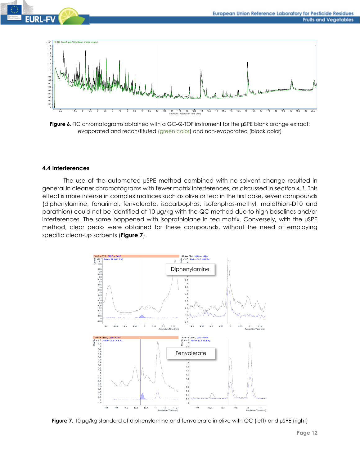



**Figure 6.** TIC chromatograms obtained with a GC-Q-TOF instrument for the uSPE blank orange extract: evaporated and reconstituted (green color) and non-evaporated (black color)

#### **4.4 Interferences**

The use of the automated µSPE method combined with no solvent change resulted in general in cleaner chromatograms with fewer matrix interferences, as discussed in *section 4.1*. This effect is more intense in complex matrices such as olive or tea: in the first case, seven compounds (diphenylamine, fenarimol, fenvalerate, isocarbophos, isofenphos-methyl, malathion-D10 and parathion) could not be identified at 10 µg/kg with the QC method due to high baselines and/or interferences. The same happened with isoprothiolane in tea matrix. Conversely, with the µSPE method, clear peaks were obtained for these compounds, without the need of employing specific clean-up sorbents (**Figure 7**).



**Figure 7.** 10 µg/kg standard of diphenylamine and fenvalerate in olive with QC (left) and µSPE (right)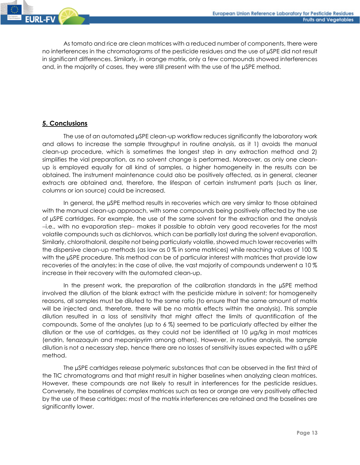

As tomato and rice are clean matrices with a reduced number of components, there were no interferences in the chromatograms of the pesticide residues and the use of µSPE did not result in significant differences. Similarly, in orange matrix, only a few compounds showed interferences and, in the majority of cases, they were still present with the use of the µSPE method.

# **5. Conclusions**

The use of an automated µSPE clean-up workflow reduces significantly the laboratory work and allows to increase the sample throughput in routine analysis, as it 1) avoids the manual clean-up procedure, which is sometimes the longest step in any extraction method and 2) simplifies the vial preparation, as no solvent change is performed. Moreover, as only one cleanup is employed equally for all kind of samples, a higher homogeneity in the results can be obtained. The instrument maintenance could also be positively affected, as in general, cleaner extracts are obtained and, therefore, the lifespan of certain instrument parts (such as liner, columns or ion source) could be increased.

In general, the µSPE method results in recoveries which are very similar to those obtained with the manual clean-up approach, with some compounds being positively affected by the use of µSPE cartridges. For example, the use of the same solvent for the extraction and the analysis −i.e., with no evaporation step− makes it possible to obtain very good recoveries for the most volatile compounds such as dichlorvos, which can be partially lost during the solvent evaporation. Similarly, chlorothalonil, despite not being particularly volatile, showed much lower recoveries with the dispersive clean-up methods (as low as 0 % in some matrices) while reaching values of 100 % with the µSPE procedure. This method can be of particular interest with matrices that provide low recoveries of the analytes: in the case of olive, the vast majority of compounds underwent a 10 % increase in their recovery with the automated clean-up.

In the present work, the preparation of the calibration standards in the µSPE method involved the dilution of the blank extract with the pesticide mixture in solvent; for homogeneity reasons, all samples must be diluted to the same ratio (to ensure that the same amount of matrix will be injected and, therefore, there will be no matrix effects within the analysis). This sample dilution resulted in a loss of sensitivity that might affect the limits of quantification of the compounds. Some of the analytes (up to 6 %) seemed to be particularly affected by either the dilution or the use of cartridges, as they could not be identified at 10 µg/kg in most matrices (endrin, fenazaquin and mepanipyrim among others). However, in routine analysis, the sample dilution is not a necessary step, hence there are no losses of sensitivity issues expected with a µSPE method.

The µSPE cartridges release polymeric substances that can be observed in the first third of the TIC chromatograms and that might result in higher baselines when analyzing clean matrices. However, these compounds are not likely to result in interferences for the pesticide residues. Conversely, the baselines of complex matrices such as tea or orange are very positively affected by the use of these cartridges: most of the matrix interferences are retained and the baselines are significantly lower.